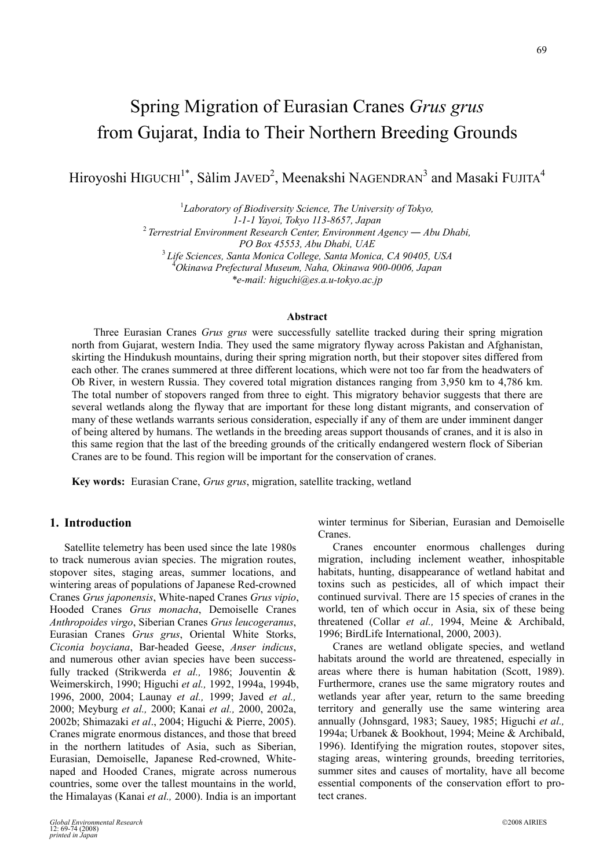# Spring Migration of Eurasian Cranes *Grus grus* from Gujarat, India to Their Northern Breeding Grounds

Hiroyoshi HIGUCHI<sup>1\*</sup>, Sàlim JAVED<sup>2</sup>, Meenakshi NAGENDRAN<sup>3</sup> and Masaki FUJITA<sup>4</sup>

<sup>1</sup>Laboratory of Biodiversity Science, The University of Tokyo, *1-1-1 Yayoi, Tokyo 113-8657, Japan* <sup>2</sup>*Terrestrial Environment Research Center, Environment Agency ― Abu Dhabi, PO Box 45553, Abu Dhabi, UAE* <sup>3</sup> *Life Sciences, Santa Monica College, Santa Monica, CA 90405, USA*  4 *Okinawa Prefectural Museum, Naha, Okinawa 900-0006, Japan \*e-mail: [higuchi@es.a.u-tokyo.ac.jp](mailto:higuchi@es.a.u-tokyo.ac.jp)* 

#### **Abstract**

Three Eurasian Cranes *Grus grus* were successfully satellite tracked during their spring migration north from Gujarat, western India. They used the same migratory flyway across Pakistan and Afghanistan, skirting the Hindukush mountains, during their spring migration north, but their stopover sites differed from each other. The cranes summered at three different locations, which were not too far from the headwaters of Ob River, in western Russia. They covered total migration distances ranging from 3,950 km to 4,786 km. The total number of stopovers ranged from three to eight. This migratory behavior suggests that there are several wetlands along the flyway that are important for these long distant migrants, and conservation of many of these wetlands warrants serious consideration, especially if any of them are under imminent danger of being altered by humans. The wetlands in the breeding areas support thousands of cranes, and it is also in this same region that the last of the breeding grounds of the critically endangered western flock of Siberian Cranes are to be found. This region will be important for the conservation of cranes.

**Key words:** Eurasian Crane, *Grus grus*, migration, satellite tracking, wetland

# **1. Introduction**

Satellite telemetry has been used since the late 1980s to track numerous avian species. The migration routes, stopover sites, staging areas, summer locations, and wintering areas of populations of Japanese Red-crowned Cranes *Grus japonensis*, White-naped Cranes *Grus vipio*, Hooded Cranes *Grus monacha*, Demoiselle Cranes *Anthropoides virgo*, Siberian Cranes *Grus leucogeranus*, Eurasian Cranes *Grus grus*, Oriental White Storks, *Ciconia boyciana*, Bar-headed Geese, *Anser indicus*, and numerous other avian species have been successfully tracked (Strikwerda *et al.,* 1986; Jouventin & Weimerskirch, 1990; Higuchi *et al.,* 1992, 1994a, 1994b, 1996, 2000, 2004; Launay *et al.,* 1999; Javed *et al.,* 2000; Meyburg *et al.,* 2000; Kanai *et al.,* 2000, 2002a, 2002b; Shimazaki *et al*., 2004; Higuchi & Pierre, 2005). Cranes migrate enormous distances, and those that breed in the northern latitudes of Asia, such as Siberian, Eurasian, Demoiselle, Japanese Red-crowned, Whitenaped and Hooded Cranes, migrate across numerous countries, some over the tallest mountains in the world, the Himalayas (Kanai *et al.,* 2000). India is an important

winter terminus for Siberian, Eurasian and Demoiselle Cranes.

Cranes encounter enormous challenges during migration, including inclement weather, inhospitable habitats, hunting, disappearance of wetland habitat and toxins such as pesticides, all of which impact their continued survival. There are 15 species of cranes in the world, ten of which occur in Asia, six of these being threatened (Collar *et al.,* 1994, Meine & Archibald, 1996; BirdLife International, 2000, 2003).

Cranes are wetland obligate species, and wetland habitats around the world are threatened, especially in areas where there is human habitation (Scott, 1989). Furthermore, cranes use the same migratory routes and wetlands year after year, return to the same breeding territory and generally use the same wintering area annually (Johnsgard, 1983; Sauey, 1985; Higuchi *et al.,* 1994a; Urbanek & Bookhout, 1994; Meine & Archibald, 1996). Identifying the migration routes, stopover sites, staging areas, wintering grounds, breeding territories, summer sites and causes of mortality, have all become essential components of the conservation effort to protect cranes.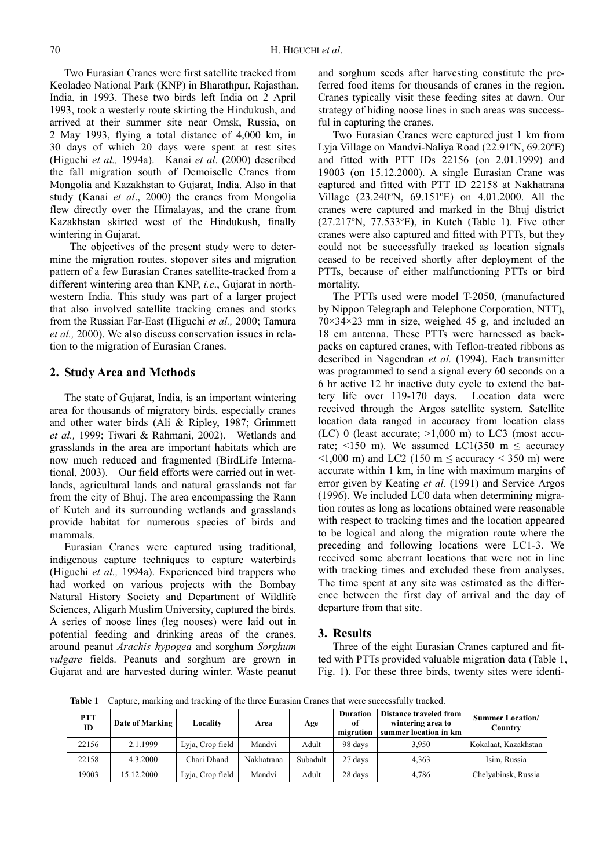Two Eurasian Cranes were first satellite tracked from Keoladeo National Park (KNP) in Bharathpur, Rajasthan, India, in 1993. These two birds left India on 2 April 1993, took a westerly route skirting the Hindukush, and arrived at their summer site near Omsk, Russia, on 2 May 1993, flying a total distance of 4,000 km, in 30 days of which 20 days were spent at rest sites (Higuchi *et al.,* 1994a). Kanai *et al*. (2000) described the fall migration south of Demoiselle Cranes from Mongolia and Kazakhstan to Gujarat, India. Also in that study (Kanai *et al*., 2000) the cranes from Mongolia flew directly over the Himalayas, and the crane from Kazakhstan skirted west of the Hindukush, finally wintering in Gujarat.

 The objectives of the present study were to determine the migration routes, stopover sites and migration pattern of a few Eurasian Cranes satellite-tracked from a different wintering area than KNP, *i.e*., Gujarat in northwestern India. This study was part of a larger project that also involved satellite tracking cranes and storks from the Russian Far-East (Higuchi *et al.,* 2000; Tamura *et al.,* 2000). We also discuss conservation issues in relation to the migration of Eurasian Cranes.

#### **2. Study Area and Methods**

The state of Gujarat, India, is an important wintering area for thousands of migratory birds, especially cranes and other water birds (Ali & Ripley, 1987; Grimmett *et al.,* 1999; Tiwari & Rahmani, 2002). Wetlands and grasslands in the area are important habitats which are now much reduced and fragmented (BirdLife International, 2003). Our field efforts were carried out in wetlands, agricultural lands and natural grasslands not far from the city of Bhuj. The area encompassing the Rann of Kutch and its surrounding wetlands and grasslands provide habitat for numerous species of birds and mammals.

Eurasian Cranes were captured using traditional, indigenous capture techniques to capture waterbirds (Higuchi *et al.,* 1994a). Experienced bird trappers who had worked on various projects with the Bombay Natural History Society and Department of Wildlife Sciences, Aligarh Muslim University, captured the birds. A series of noose lines (leg nooses) were laid out in potential feeding and drinking areas of the cranes, around peanut *Arachis hypogea* and sorghum *Sorghum vulgare* fields. Peanuts and sorghum are grown in Gujarat and are harvested during winter. Waste peanut and sorghum seeds after harvesting constitute the preferred food items for thousands of cranes in the region. Cranes typically visit these feeding sites at dawn. Our strategy of hiding noose lines in such areas was successful in capturing the cranes.

Two Eurasian Cranes were captured just 1 km from Lyja Village on Mandvi-Naliya Road (22.91ºN, 69.20ºE) and fitted with PTT IDs 22156 (on 2.01.1999) and 19003 (on 15.12.2000). A single Eurasian Crane was captured and fitted with PTT ID 22158 at Nakhatrana Village (23.240ºN, 69.151ºE) on 4.01.2000. All the cranes were captured and marked in the Bhuj district (27.217ºN, 77.533ºE), in Kutch (Table 1). Five other cranes were also captured and fitted with PTTs, but they could not be successfully tracked as location signals ceased to be received shortly after deployment of the PTTs, because of either malfunctioning PTTs or bird mortality.

The PTTs used were model T-2050, (manufactured by Nippon Telegraph and Telephone Corporation, NTT),  $70\times34\times23$  mm in size, weighed 45 g, and included an 18 cm antenna. These PTTs were harnessed as backpacks on captured cranes, with Teflon-treated ribbons as described in Nagendran *et al.* (1994). Each transmitter was programmed to send a signal every 60 seconds on a 6 hr active 12 hr inactive duty cycle to extend the battery life over 119-170 days. Location data were received through the Argos satellite system. Satellite location data ranged in accuracy from location class (LC) 0 (least accurate;  $>1,000$  m) to LC3 (most accurate;  $\leq 150$  m). We assumed LC1(350 m  $\leq$  accuracy  $\leq$ 1,000 m) and LC2 (150 m  $\leq$  accuracy  $\leq$  350 m) were accurate within 1 km, in line with maximum margins of error given by Keating *et al.* (1991) and Service Argos (1996). We included LC0 data when determining migration routes as long as locations obtained were reasonable with respect to tracking times and the location appeared to be logical and along the migration route where the preceding and following locations were LC1-3. We received some aberrant locations that were not in line with tracking times and excluded these from analyses. The time spent at any site was estimated as the difference between the first day of arrival and the day of departure from that site.

### **3. Results**

Three of the eight Eurasian Cranes captured and fitted with PTTs provided valuable migration data (Table 1, Fig. 1). For these three birds, twenty sites were identi-

**Table 1** Capture, marking and tracking of the three Eurasian Cranes that were successfully tracked.

| <b>PTT</b><br><b>ID</b> | Date of Marking | Locality         | Area       | Age      | <b>Duration</b><br>of<br>migration | Distance traveled from<br>wintering area to<br>summer location in km | <b>Summer Location</b> /<br>Country |
|-------------------------|-----------------|------------------|------------|----------|------------------------------------|----------------------------------------------------------------------|-------------------------------------|
| 22156                   | 2.1.1999        | Lyja, Crop field | Mandvi     | Adult    | 98 days                            | 3.950                                                                | Kokalaat, Kazakhstan                |
| 22158                   | 4.3.2000        | Chari Dhand      | Nakhatrana | Subadult | 27 days                            | 4.363                                                                | Isim, Russia                        |
| 19003                   | 15.12.2000      | Lyja, Crop field | Mandvi     | Adult    | 28 days                            | 4.786                                                                | Chelyabinsk, Russia                 |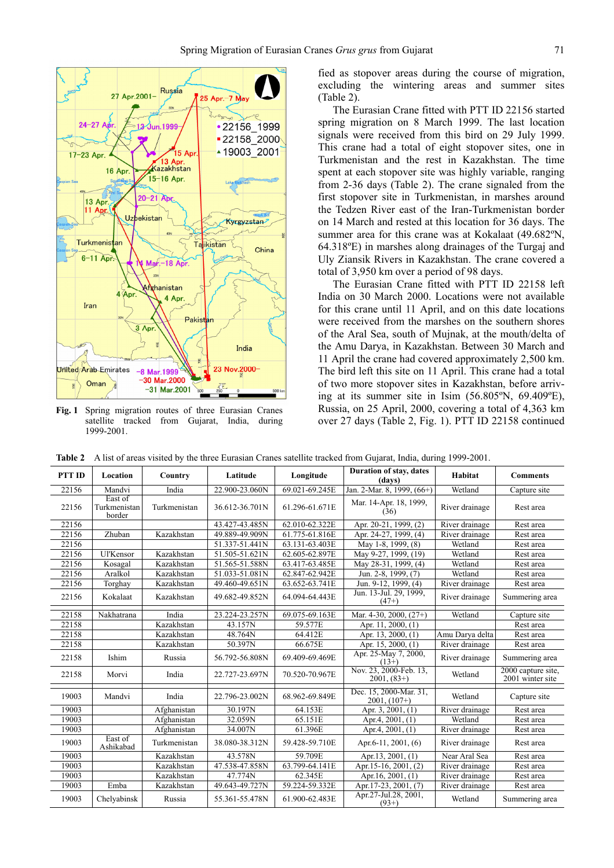

**Fig. 1** Spring migration routes of three Eurasian Cranes satellite tracked from Gujarat, India, during 1999-2001.

fied as stopover areas during the course of migration, excluding the wintering areas and summer sites (Table 2).

The Eurasian Crane fitted with PTT ID 22156 started spring migration on 8 March 1999. The last location signals were received from this bird on 29 July 1999. This crane had a total of eight stopover sites, one in Turkmenistan and the rest in Kazakhstan. The time spent at each stopover site was highly variable, ranging from 2-36 days (Table 2). The crane signaled from the first stopover site in Turkmenistan, in marshes around the Tedzen River east of the Iran-Turkmenistan border on 14 March and rested at this location for 36 days. The summer area for this crane was at Kokalaat (49.682ºN, 64.318ºE) in marshes along drainages of the Turgaj and Uly Ziansik Rivers in Kazakhstan. The crane covered a total of 3,950 km over a period of 98 days.

The Eurasian Crane fitted with PTT ID 22158 left India on 30 March 2000. Locations were not available for this crane until 11 April, and on this date locations were received from the marshes on the southern shores of the Aral Sea, south of Mujnak, at the mouth/delta of the Amu Darya, in Kazakhstan. Between 30 March and 11 April the crane had covered approximately 2,500 km. The bird left this site on 11 April. This crane had a total of two more stopover sites in Kazakhstan, before arriving at its summer site in Isim (56.805ºN, 69.409ºE), Russia, on 25 April, 2000, covering a total of 4,363 km over 27 days (Table 2, Fig. 1). PTT ID 22158 continued

**Table 2** A list of areas visited by the three Eurasian Cranes satellite tracked from Gujarat, India, during 1999-2001.

| PTT ID | Location                          | Country      | Latitude       | Longitude      | Duration of stay, dates<br>(days)        | Habitat         | <b>Comments</b>                        |
|--------|-----------------------------------|--------------|----------------|----------------|------------------------------------------|-----------------|----------------------------------------|
| 22156  | Mandvi                            | India        | 22.900-23.060N | 69.021-69.245E | Jan. 2-Mar. 8, 1999, (66+)               | Wetland         | Capture site                           |
| 22156  | East of<br>Turkmenistan<br>border | Turkmenistan | 36.612-36.701N | 61.296-61.671E | Mar. 14-Apr. 18, 1999,<br>(36)           | River drainage  | Rest area                              |
| 22156  |                                   |              | 43.427-43.485N | 62.010-62.322E | Apr. 20-21, 1999, (2)                    | River drainage  | Rest area                              |
| 22156  | Zhuban                            | Kazakhstan   | 49.889-49.909N | 61.775-61.816E | Apr. 24-27, 1999, (4)                    | River drainage  | Rest area                              |
| 22156  |                                   |              | 51.337-51.441N | 63.131-63.403E | May 1-8, 1999, (8)                       | Wetland         | Rest area                              |
| 22156  | Ul'Kensor                         | Kazakhstan   | 51.505-51.621N | 62.605-62.897E | May 9-27, 1999, (19)                     | Wetland         | Rest area                              |
| 22156  | Kosagal                           | Kazakhstan   | 51.565-51.588N | 63.417-63.485E | May 28-31, 1999, (4)                     | Wetland         | Rest area                              |
| 22156  | Aralkol                           | Kazakhstan   | 51.033-51.081N | 62.847-62.942E | Jun. 2-8, 1999, (7)                      | Wetland         | Rest area                              |
| 22156  | Torghay                           | Kazakhstan   | 49.460-49.651N | 63.652-63.741E | Jun. 9-12, 1999, (4)                     | River drainage  | Rest area                              |
| 22156  | Kokalaat                          | Kazakhstan   | 49.682-49.852N | 64.094-64.443E | Jun. 13-Jul. 29, 1999,<br>$(47+)$        | River drainage  | Summering area                         |
| 22158  | Nakhatrana                        | India        | 23.224-23.257N | 69.075-69.163E | Mar. $4-30$ , $2000$ , $(27+)$           | Wetland         | Capture site                           |
| 22158  |                                   | Kazakhstan   | 43.157N        | 59.577E        | Apr. 11, 2000, (1)                       |                 | Rest area                              |
| 22158  |                                   | Kazakhstan   | 48.764N        | 64.412E        | Apr. 13, 2000, (1)                       | Amu Darya delta | Rest area                              |
| 22158  |                                   | Kazakhstan   | 50.397N        | 66.675E        | Apr. 15, 2000, (1)                       | River drainage  | Rest area                              |
| 22158  | Ishim                             | Russia       | 56.792-56.808N | 69.409-69.469E | Apr. 25-May 7, 2000,<br>$(13+)$          | River drainage  | Summering area                         |
| 22158  | Morvi                             | India        | 22.727-23.697N | 70.520-70.967E | Nov. 23, 2000-Feb. 13,<br>$2001, (83+)$  | Wetland         | 2000 capture site.<br>2001 winter site |
| 19003  | Mandvi                            | India        | 22.796-23.002N | 68.962-69.849E | Dec. 15, 2000-Mar. 31,<br>$2001, (107+)$ | Wetland         | Capture site                           |
| 19003  |                                   | Afghanistan  | 30.197N        | 64.153E        | Apr. 3, 2001, (1)                        | River drainage  | Rest area                              |
| 19003  |                                   | Afghanistan  | 32.059N        | 65.151E        | Apr.4, 2001, (1)                         | Wetland         | Rest area                              |
| 19003  |                                   | Afghanistan  | 34.007N        | 61.396E        | Apr.4, 2001, (1)                         | River drainage  | Rest area                              |
| 19003  | East of<br>Ashikabad              | Turkmenistan | 38.080-38.312N | 59.428-59.710E | Apr.6-11, 2001, (6)                      | River drainage  | Rest area                              |
| 19003  |                                   | Kazakhstan   | 43.578N        | 59.709E        | Apr. 13, 2001, (1)                       | Near Aral Sea   | Rest area                              |
| 19003  |                                   | Kazakhstan   | 47.538-47.858N | 63.799-64.141E | Apr. 15-16, 2001, (2)                    | River drainage  | Rest area                              |
| 19003  |                                   | Kazakhstan   | 47.774N        | 62.345E        | Apr.16, 2001, (1)                        | River drainage  | Rest area                              |
| 19003  | Emba                              | Kazakhstan   | 49.643-49.727N | 59.224-59.332E | Apr.17-23, 2001, (7)                     | River drainage  | Rest area                              |
| 19003  | Chelvabinsk                       | Russia       | 55.361-55.478N | 61.900-62.483E | Apr.27-Jul.28, 2001,<br>$(93+)$          | Wetland         | Summering area                         |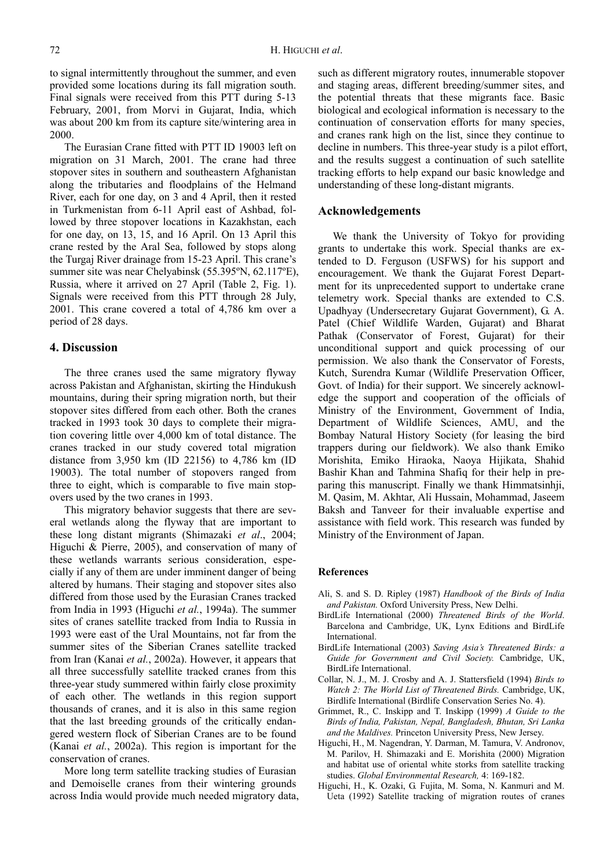to signal intermittently throughout the summer, and even provided some locations during its fall migration south. Final signals were received from this PTT during 5-13 February, 2001, from Morvi in Gujarat, India, which was about 200 km from its capture site/wintering area in 2000.

The Eurasian Crane fitted with PTT ID 19003 left on migration on 31 March, 2001. The crane had three stopover sites in southern and southeastern Afghanistan along the tributaries and floodplains of the Helmand River, each for one day, on 3 and 4 April, then it rested in Turkmenistan from 6-11 April east of Ashbad, followed by three stopover locations in Kazakhstan, each for one day, on 13, 15, and 16 April. On 13 April this crane rested by the Aral Sea, followed by stops along the Turgaj River drainage from 15-23 April. This crane's summer site was near Chelyabinsk (55.395ºN, 62.117ºE), Russia, where it arrived on 27 April (Table 2, Fig. 1). Signals were received from this PTT through 28 July, 2001. This crane covered a total of 4,786 km over a period of 28 days.

## **4. Discussion**

The three cranes used the same migratory flyway across Pakistan and Afghanistan, skirting the Hindukush mountains, during their spring migration north, but their stopover sites differed from each other. Both the cranes tracked in 1993 took 30 days to complete their migration covering little over 4,000 km of total distance. The cranes tracked in our study covered total migration distance from 3,950 km (ID 22156) to 4,786 km (ID 19003). The total number of stopovers ranged from three to eight, which is comparable to five main stopovers used by the two cranes in 1993.

This migratory behavior suggests that there are several wetlands along the flyway that are important to these long distant migrants (Shimazaki *et al*., 2004; Higuchi & Pierre, 2005), and conservation of many of these wetlands warrants serious consideration, especially if any of them are under imminent danger of being altered by humans. Their staging and stopover sites also differed from those used by the Eurasian Cranes tracked from India in 1993 (Higuchi *et al.*, 1994a). The summer sites of cranes satellite tracked from India to Russia in 1993 were east of the Ural Mountains, not far from the summer sites of the Siberian Cranes satellite tracked from Iran (Kanai *et al.*, 2002a). However, it appears that all three successfully satellite tracked cranes from this three-year study summered within fairly close proximity of each other. The wetlands in this region support thousands of cranes, and it is also in this same region that the last breeding grounds of the critically endangered western flock of Siberian Cranes are to be found (Kanai *et al.*, 2002a). This region is important for the conservation of cranes.

More long term satellite tracking studies of Eurasian and Demoiselle cranes from their wintering grounds across India would provide much needed migratory data, such as different migratory routes, innumerable stopover and staging areas, different breeding/summer sites, and the potential threats that these migrants face. Basic biological and ecological information is necessary to the continuation of conservation efforts for many species, and cranes rank high on the list, since they continue to decline in numbers. This three-year study is a pilot effort, and the results suggest a continuation of such satellite tracking efforts to help expand our basic knowledge and understanding of these long-distant migrants.

## **Acknowledgements**

We thank the University of Tokyo for providing grants to undertake this work. Special thanks are extended to D. Ferguson (USFWS) for his support and encouragement. We thank the Gujarat Forest Department for its unprecedented support to undertake crane telemetry work. Special thanks are extended to C.S. Upadhyay (Undersecretary Gujarat Government), G. A. Patel (Chief Wildlife Warden, Gujarat) and Bharat Pathak (Conservator of Forest, Gujarat) for their unconditional support and quick processing of our permission. We also thank the Conservator of Forests, Kutch, Surendra Kumar (Wildlife Preservation Officer, Govt. of India) for their support. We sincerely acknowledge the support and cooperation of the officials of Ministry of the Environment, Government of India, Department of Wildlife Sciences, AMU, and the Bombay Natural History Society (for leasing the bird trappers during our fieldwork). We also thank Emiko Morishita, Emiko Hiraoka, Naoya Hijikata, Shahid Bashir Khan and Tahmina Shafiq for their help in preparing this manuscript. Finally we thank Himmatsinhji, M. Qasim, M. Akhtar, Ali Hussain, Mohammad, Jaseem Baksh and Tanveer for their invaluable expertise and assistance with field work. This research was funded by Ministry of the Environment of Japan.

#### **References**

- Ali, S. and S. D. Ripley (1987) *Handbook of the Birds of India and Pakistan.* Oxford University Press, New Delhi.
- BirdLife International (2000) *Threatened Birds of the World*. Barcelona and Cambridge, UK, Lynx Editions and BirdLife International.
- BirdLife International (2003) *Saving Asia's Threatened Birds: a Guide for Government and Civil Society.* Cambridge, UK, BirdLife International.
- Collar, N. J., M. J. Crosby and A. J. Stattersfield (1994) *Birds to Watch 2: The World List of Threatened Birds.* Cambridge, UK, Birdlife International (Birdlife Conservation Series No. 4).
- Grimmet, R., C. Inskipp and T. Inskipp (1999) *A Guide to the Birds of India, Pakistan, Nepal, Bangladesh, Bhutan, Sri Lanka and the Maldives.* Princeton University Press, New Jersey.
- Higuchi, H., M. Nagendran, Y. Darman, M. Tamura, V. Andronov, M. Parilov, H. Shimazaki and E. Morishita (2000) Migration and habitat use of oriental white storks from satellite tracking studies. *Global Environmental Research,* 4: 169-182.
- Higuchi, H., K. Ozaki, G. Fujita, M. Soma, N. Kanmuri and M. Ueta (1992) Satellite tracking of migration routes of cranes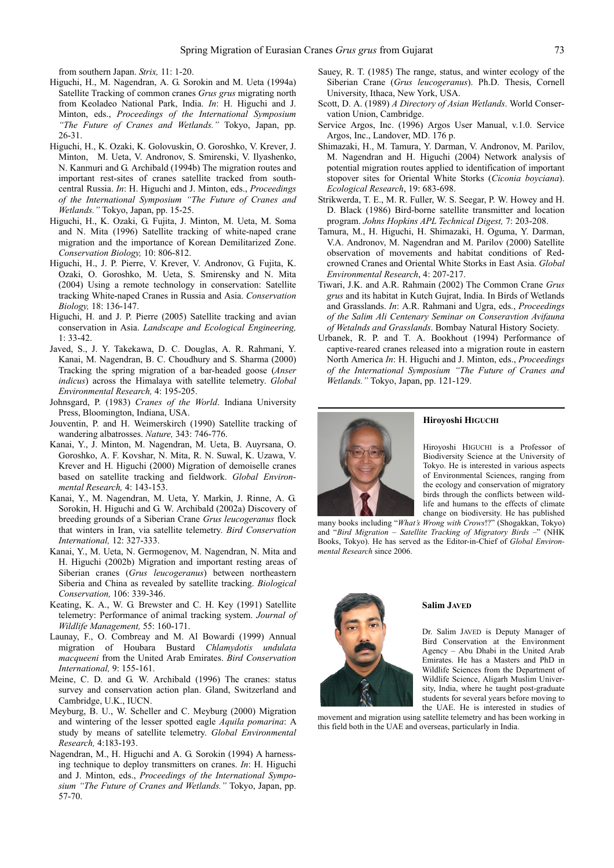from southern Japan. *Strix,* 11: 1-20.

- Higuchi, H., M. Nagendran, A. G. Sorokin and M. Ueta (1994a) Satellite Tracking of common cranes *Grus grus* migrating north from Keoladeo National Park, India. *In*: H. Higuchi and J. Minton, eds., *Proceedings of the International Symposium "The Future of Cranes and Wetlands."* Tokyo, Japan, pp. 26-31.
- Higuchi, H., K. Ozaki, K. Golovuskin, O. Goroshko, V. Krever, J. Minton, M. Ueta, V. Andronov, S. Smirenski, V. Ilyashenko, N. Kanmuri and G. Archibald (1994b) The migration routes and important rest-sites of cranes satellite tracked from southcentral Russia. *In*: H. Higuchi and J. Minton, eds., *Proceedings of the International Symposium "The Future of Cranes and Wetlands."* Tokyo, Japan, pp. 15-25.
- Higuchi, H., K. Ozaki, G. Fujita, J. Minton, M. Ueta, M. Soma and N. Mita (1996) Satellite tracking of white-naped crane migration and the importance of Korean Demilitarized Zone. *Conservation Biology,* 10: 806-812.
- Higuchi, H., J. P. Pierre, V. Krever, V. Andronov, G. Fujita, K. Ozaki, O. Goroshko, M. Ueta, S. Smirensky and N. Mita (2004) Using a remote technology in conservation: Satellite tracking White-naped Cranes in Russia and Asia. *Conservation Biology,* 18: 136-147.
- Higuchi, H. and J. P. Pierre (2005) Satellite tracking and avian conservation in Asia. *Landscape and Ecological Engineering,*  $1: 33-42.$
- Javed, S., J. Y. Takekawa, D. C. Douglas, A. R. Rahmani, Y. Kanai, M. Nagendran, B. C. Choudhury and S. Sharma (2000) Tracking the spring migration of a bar-headed goose (*Anser indicus*) across the Himalaya with satellite telemetry. *Global Environmental Research,* 4: 195-205.
- Johnsgard, P. (1983) *Cranes of the World*. Indiana University Press, Bloomington, Indiana, USA.
- Jouventin, P. and H. Weimerskirch (1990) Satellite tracking of wandering albatrosses. *Nature,* 343: 746-776.
- Kanai, Y., J. Minton, M. Nagendran, M. Ueta, B. Auyrsana, O. Goroshko, A. F. Kovshar, N. Mita, R. N. Suwal, K. Uzawa, V. Krever and H. Higuchi (2000) Migration of demoiselle cranes based on satellite tracking and fieldwork. *Global Environmental Research,* 4: 143-153.
- Kanai, Y., M. Nagendran, M. Ueta, Y. Markin, J. Rinne, A. G. Sorokin, H. Higuchi and G. W. Archibald (2002a) Discovery of breeding grounds of a Siberian Crane *Grus leucogeranus* flock that winters in Iran, via satellite telemetry. *Bird Conservation International,* 12: 327-333.
- Kanai, Y., M. Ueta, N. Germogenov, M. Nagendran, N. Mita and H. Higuchi (2002b) Migration and important resting areas of Siberian cranes (*Grus leucogeranus*) between northeastern Siberia and China as revealed by satellite tracking. *Biological Conservation,* 106: 339-346.
- Keating, K. A., W. G. Brewster and C. H. Key (1991) Satellite telemetry: Performance of animal tracking system. *Journal of Wildlife Management,* 55: 160-171.
- Launay, F., O. Combreay and M. Al Bowardi (1999) Annual migration of Houbara Bustard *Chlamydotis undulata macqueeni* from the United Arab Emirates. *Bird Conservation International,* 9: 155-161.
- Meine, C. D. and G. W. Archibald (1996) The cranes: status survey and conservation action plan. Gland, Switzerland and Cambridge, U.K., IUCN.
- Meyburg, B. U., W. Scheller and C. Meyburg (2000) Migration and wintering of the lesser spotted eagle *Aquila pomarina*: A study by means of satellite telemetry. *Global Environmental Research,* 4:183-193.
- Nagendran, M., H. Higuchi and A. G. Sorokin (1994) A harnessing technique to deploy transmitters on cranes. *In*: H. Higuchi and J. Minton, eds., *Proceedings of the International Symposium "The Future of Cranes and Wetlands."* Tokyo, Japan, pp. 57-70.
- Sauey, R. T. (1985) The range, status, and winter ecology of the Siberian Crane (*Grus leucogeranus*). Ph.D. Thesis, Cornell University, Ithaca, New York, USA.
- Scott, D. A. (1989) *A Directory of Asian Wetlands*. World Conservation Union, Cambridge.
- Service Argos, Inc. (1996) Argos User Manual, v.1.0. Service Argos, Inc., Landover, MD. 176 p.
- Shimazaki, H., M. Tamura, Y. Darman, V. Andronov, M. Parilov, M. Nagendran and H. Higuchi (2004) Network analysis of potential migration routes applied to identification of important stopover sites for Oriental White Storks (*Ciconia boyciana*). *Ecological Research*, 19: 683-698.
- Strikwerda, T. E., M. R. Fuller, W. S. Seegar, P. W. Howey and H. D. Black (1986) Bird-borne satellite transmitter and location program. *Johns Hopkins APL Technical Digest,* 7: 203-208.
- Tamura, M., H. Higuchi, H. Shimazaki, H. Oguma, Y. Darman, V.A. Andronov, M. Nagendran and M. Parilov (2000) Satellite observation of movements and habitat conditions of Redcrowned Cranes and Oriental White Storks in East Asia. *Global Environmental Research*, 4: 207-217.
- Tiwari, J.K. and A.R. Rahmain (2002) The Common Crane *Grus grus* and its habitat in Kutch Gujrat, India. In Birds of Wetlands and Grasslands. *In*: A.R. Rahmani and Ugra, eds., *Proceedings of the Salim Ali Centenary Seminar on Conseravtion Avifauna of Wetalnds and Grasslands*. Bombay Natural History Society.
- Urbanek, R. P. and T. A. Bookhout (1994) Performance of captive-reared cranes released into a migration route in eastern North America *In*: H. Higuchi and J. Minton, eds., *Proceedings of the International Symposium "The Future of Cranes and Wetlands."* Tokyo, Japan, pp. 121-129.



#### **Hiroyoshi HIGUCHI**

Hiroyoshi HIGUCHI is a Professor of Biodiversity Science at the University of Tokyo. He is interested in various aspects of Environmental Sciences, ranging from the ecology and conservation of migratory birds through the conflicts between wildlife and humans to the effects of climate change on biodiversity. He has published

many books including "*What's Wrong with Crows*!?" (Shogakkan, Tokyo) and "*Bird Migration – Satellite Tracking of Migratory Birds* –" (NHK Books, Tokyo). He has served as the Editor-in-Chief of *Global Environmental Research* since 2006.



#### **Salim JAVED**

Dr. Salim JAVED is Deputy Manager of Bird Conservation at the Environment Agency – Abu Dhabi in the United Arab Emirates. He has a Masters and PhD in Wildlife Sciences from the Department of Wildlife Science, Aligarh Muslim University, India, where he taught post-graduate students for several years before moving to the UAE. He is interested in studies of

movement and migration using satellite telemetry and has been working in this field both in the UAE and overseas, particularly in India.